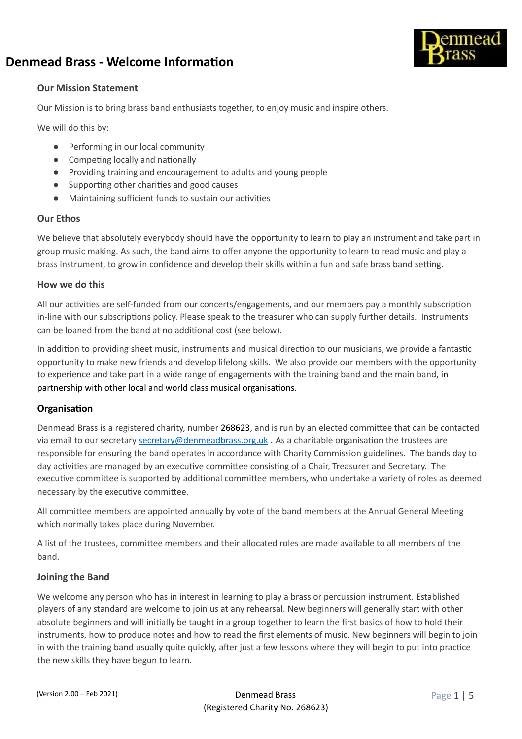

## **Our Mission Statement**

Our Mission is to bring brass band enthusiasts together, to enjoy music and inspire others.

We will do this by:

- Performing in our local community
- $\bullet$  Competing locally and nationally
- Providing training and encouragement to adults and young people
- Supporting other charities and good causes
- Maintaining sufficient funds to sustain our activities

## **Our Ethos**

We believe that absolutely everybody should have the opportunity to learn to play an instrument and take part in group music making. As such, the band aims to offer anyone the opportunity to learn to read music and play a brass instrument, to grow in confidence and develop their skills within a fun and safe brass band setting.

## **How we do this**

All our activities are self-funded from our concerts/engagements, and our members pay a monthly subscription in-line with our subscriptions policy. Please speak to the treasurer who can supply further details. Instruments can be loaned from the band at no additional cost (see below).

In addition to providing sheet music, instruments and musical direction to our musicians, we provide a fantastic opportunity to make new friends and develop lifelong skills. We also provide our members with the opportunity to experience and take part in a wide range of engagements with the training band and the main band, in partnership with other local and world class musical organisations.

## **Organisation**

Denmead Brass is a registered charity, number 268623, and is run by an elected committee that can be contacted via email to our secretary [secretary@denmeadbrass.org.uk](mailto:secretary@denmeadbrass.org.uk) **.** As a charitable organisation the trustees are responsible for ensuring the band operates in accordance with Charity Commission guidelines. The bands day to day activities are managed by an executive committee consisting of a Chair, Treasurer and Secretary. The executive committee is supported by additional committee members, who undertake a variety of roles as deemed necessary by the executive committee.

All committee members are appointed annually by vote of the band members at the Annual General Meeting which normally takes place during November.

A list of the trustees, committee members and their allocated roles are made available to all members of the band.

## **Joining the Band**

We welcome any person who has in interest in learning to play a brass or percussion instrument. Established players of any standard are welcome to join us at any rehearsal. New beginners will generally start with other absolute beginners and will initially be taught in a group together to learn the first basics of how to hold their instruments, how to produce notes and how to read the first elements of music. New beginners will begin to join in with the training band usually quite quickly, after just a few lessons where they will begin to put into practice the new skills they have begun to learn.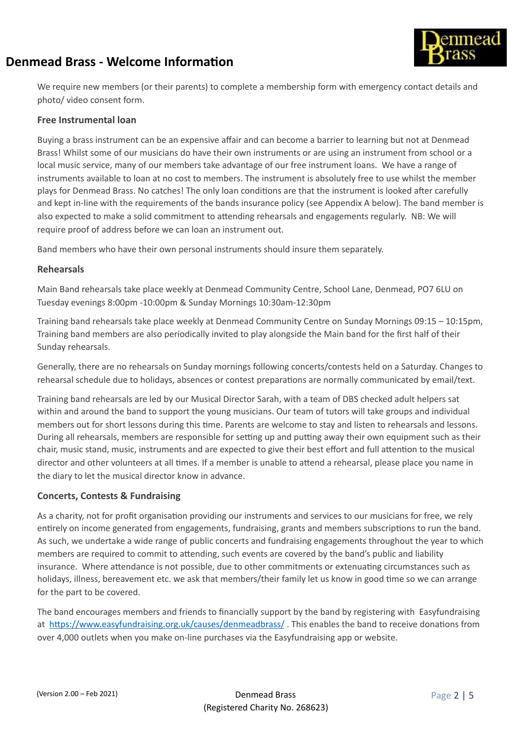

We require new members (or their parents) to complete a membership form with emergency contact details and photo/ video consent form.

#### **Free Instrumental loan**

Buying a brass instrument can be an expensive affair and can become a barrier to learning but not at Denmead Brass! Whilst some of our musicians do have their own instruments or are using an instrument from school or a local music service, many of our members take advantage of our free instrument loans. We have a range of instruments available to loan at no cost to members. The instrument is absolutely free to use whilst the member plays for Denmead Brass. No catches! The only loan conditions are that the instrument is looked after carefully and kept in-line with the requirements of the bands insurance policy (see Appendix A below). The band member is also expected to make a solid commitment to attending rehearsals and engagements regularly. NB: We will require proof of address before we can loan an instrument out.

Band members who have their own personal instruments should insure them separately.

#### **Rehearsals**

Main Band rehearsals take place weekly at Denmead Community Centre, School Lane, Denmead, PO7 6LU on Tuesday evenings 8:00pm -10:00pm & Sunday Mornings 10:30am-12:30pm

Training band rehearsals take place weekly at Denmead Community Centre on Sunday Mornings 09:15 – 10:15pm, Training band members are also periodically invited to play alongside the Main band for the first half of their Sunday rehearsals.

Generally, there are no rehearsals on Sunday mornings following concerts/contests held on a Saturday. Changes to rehearsal schedule due to holidays, absences or contest preparations are normally communicated by email/text.

Training band rehearsals are led by our Musical Director Sarah, with a team of DBS checked adult helpers sat within and around the band to support the young musicians. Our team of tutors will take groups and individual members out for short lessons during this time. Parents are welcome to stay and listen to rehearsals and lessons. During all rehearsals, members are responsible for setting up and putting away their own equipment such as their chair, music stand, music, instruments and are expected to give their best effort and full attention to the musical director and other volunteers at all times. If a member is unable to attend a rehearsal, please place you name in the diary to let the musical director know in advance.

## **Concerts, Contests & Fundraising**

As a charity, not for profit organisation providing our instruments and services to our musicians for free, we rely entirely on income generated from engagements, fundraising, grants and members subscriptions to run the band. As such, we undertake a wide range of public concerts and fundraising engagements throughout the year to which members are required to commit to attending, such events are covered by the band's public and liability insurance. Where attendance is not possible, due to other commitments or extenuating circumstances such as holidays, illness, bereavement etc. we ask that members/their family let us know in good time so we can arrange for the part to be covered.

The band encourages members and friends to financially support by the band by registering with Easyfundraising at https://www.easyfundraising.org.uk/causes/denmeadbrass/. This enables the band to receive donations from over 4,000 outlets when you make on-line purchases via the Easyfundraising app or website.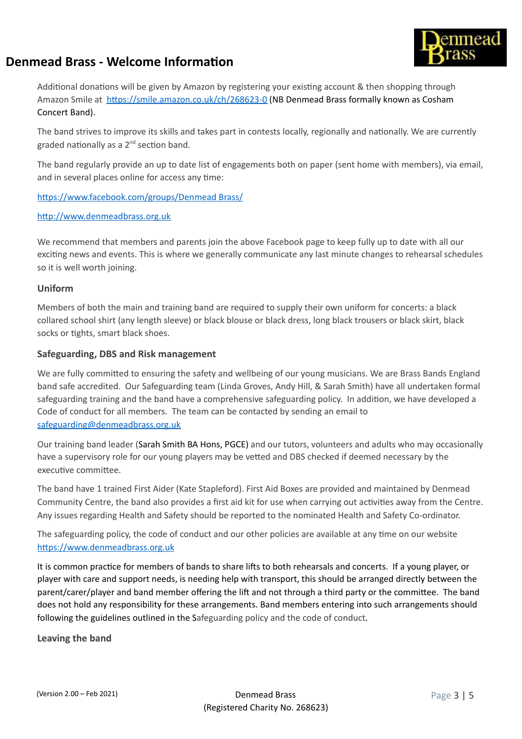



Additional donations will be given by Amazon by registering your existing account & then shopping through Amazon Smile at https://smile.amazon.co.uk/ch/268623-0 (NB Denmead Brass formally known as Cosham Concert Band).

The band strives to improve its skills and takes part in contests locally, regionally and nationally. We are currently graded nationally as a 2<sup>nd</sup> section band.

The band regularly provide an up to date list of engagements both on paper (sent home with members), via email, and in several places online for access any time:

https://www.facebook.com/groups/Denmead Brass/

http://www.denmeadbrass.org.uk

We recommend that members and parents join the above Facebook page to keep fully up to date with all our exciting news and events. This is where we generally communicate any last minute changes to rehearsal schedules so it is well worth joining.

#### **Uniform**

Members of both the main and training band are required to supply their own uniform for concerts: a black collared school shirt (any length sleeve) or black blouse or black dress, long black trousers or black skirt, black socks or tights, smart black shoes.

## **Safeguarding, DBS and Risk management**

We are fully committed to ensuring the safety and wellbeing of our young musicians. We are Brass Bands England band safe accredited. Our Safeguarding team (Linda Groves, Andy Hill, & Sarah Smith) have all undertaken formal safeguarding training and the band have a comprehensive safeguarding policy. In addition, we have developed a Code of conduct for all members. The team can be contacted by sending an email to [safeguarding@denmeadbrass.org.uk](mailto:safeguarding@denmeadbrass.org.uk)

Our training band leader (Sarah Smith BA Hons, PGCE) and our tutors, volunteers and adults who may occasionally have a supervisory role for our young players may be vetted and DBS checked if deemed necessary by the executive committee.

The band have 1 trained First Aider (Kate Stapleford). First Aid Boxes are provided and maintained by Denmead Community Centre, the band also provides a first aid kit for use when carrying out activities away from the Centre. Any issues regarding Health and Safety should be reported to the nominated Health and Safety Co-ordinator.

The safeguarding policy, the code of conduct and our other policies are available at any time on our website https://www.denmeadbrass.org.uk

It is common practice for members of bands to share lifts to both rehearsals and concerts. If a young player, or player with care and support needs, is needing help with transport, this should be arranged directly between the parent/carer/player and band member offering the lift and not through a third party or the committee. The band does not hold any responsibility for these arrangements. Band members entering into such arrangements should following the guidelines outlined in the Safeguarding policy and the code of conduct.

**Leaving the band**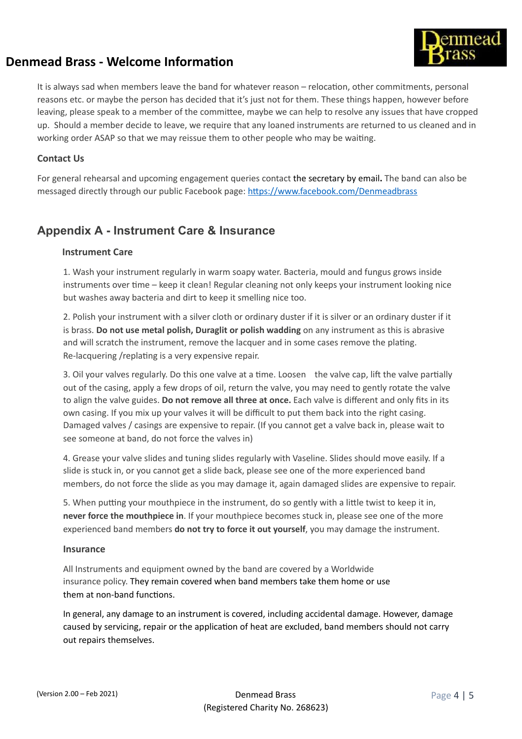

It is always sad when members leave the band for whatever reason – relocation, other commitments, personal reasons etc. or maybe the person has decided that it's just not for them. These things happen, however before leaving, please speak to a member of the committee, maybe we can help to resolve any issues that have cropped up. Should a member decide to leave, we require that any loaned instruments are returned to us cleaned and in working order ASAP so that we may reissue them to other people who may be waiting.

#### **Contact Us**

For general rehearsal and upcoming engagement queries contact the secretary by email**.** The band can also be messaged directly through our public Facebook page: https://www.facebook.com/Denmeadbrass

## **Appendix A - Instrument Care & Insurance**

#### **Instrument Care**

1. Wash your instrument regularly in warm soapy water. Bacteria, mould and fungus grows inside instruments over time – keep it clean! Regular cleaning not only keeps your instrument looking nice but washes away bacteria and dirt to keep it smelling nice too.

2. Polish your instrument with a silver cloth or ordinary duster if it is silver or an ordinary duster if it is brass. **Do not use metal polish, Duraglit or polish wadding** on any instrument as this is abrasive and will scratch the instrument, remove the lacquer and in some cases remove the plating. Re-lacquering /replating is a very expensive repair.

3. Oil your valves regularly. Do this one valve at a time. Loosen the valve cap, lift the valve partially out of the casing, apply a few drops of oil, return the valve, you may need to gently rotate the valve to align the valve guides. **Do not remove all three at once.** Each valve is different and only fits in its own casing. If you mix up your valves it will be difficult to put them back into the right casing. Damaged valves / casings are expensive to repair. (If you cannot get a valve back in, please wait to see someone at band, do not force the valves in)

4. Grease your valve slides and tuning slides regularly with Vaseline. Slides should move easily. If a slide is stuck in, or you cannot get a slide back, please see one of the more experienced band members, do not force the slide as you may damage it, again damaged slides are expensive to repair.

5. When putting your mouthpiece in the instrument, do so gently with a little twist to keep it in, **never force the mouthpiece in**. If your mouthpiece becomes stuck in, please see one of the more experienced band members **do not try to force it out yourself**, you may damage the instrument.

#### **Insurance**

All Instruments and equipment owned by the band are covered by a Worldwide insurance policy. They remain covered when band members take them home or use them at non-band functions.

In general, any damage to an instrument is covered, including accidental damage. However, damage caused by servicing, repair or the application of heat are excluded, band members should not carry out repairs themselves.